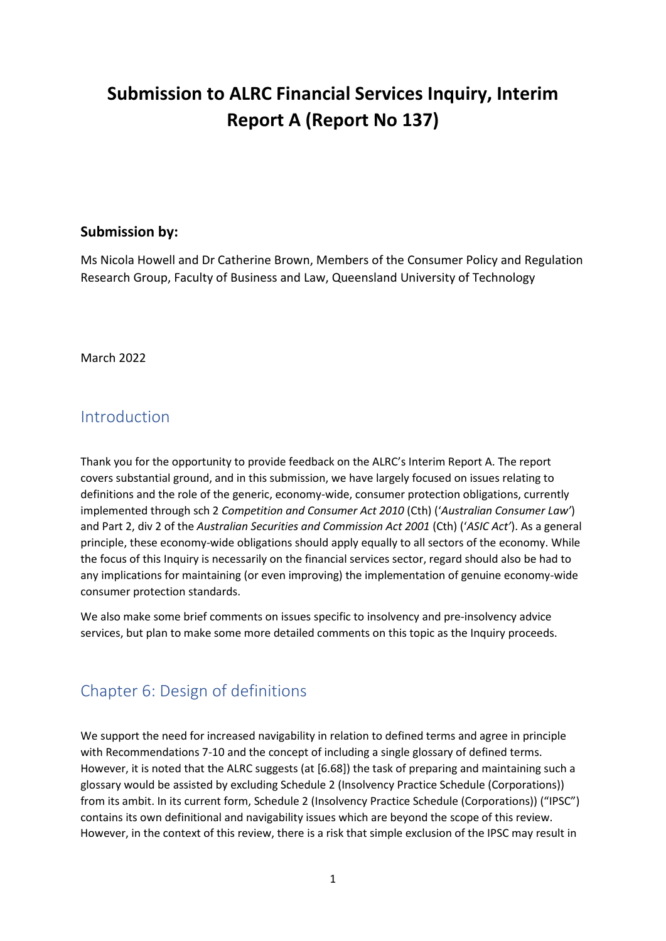# **Submission to ALRC Financial Services Inquiry, Interim Report A (Report No 137)**

#### **Submission by:**

Ms Nicola Howell and Dr Catherine Brown, Members of the Consumer Policy and Regulation Research Group, Faculty of Business and Law, Queensland University of Technology

March 2022

### Introduction

Thank you for the opportunity to provide feedback on the ALRC's Interim Report A. The report covers substantial ground, and in this submission, we have largely focused on issues relating to definitions and the role of the generic, economy-wide, consumer protection obligations, currently implemented through sch 2 *Competition and Consumer Act 2010* (Cth) ('*Australian Consumer Law'*) and Part 2, div 2 of the *Australian Securities and Commission Act 2001* (Cth) ('*ASIC Act'*). As a general principle, these economy-wide obligations should apply equally to all sectors of the economy. While the focus of this Inquiry is necessarily on the financial services sector, regard should also be had to any implications for maintaining (or even improving) the implementation of genuine economy-wide consumer protection standards.

We also make some brief comments on issues specific to insolvency and pre-insolvency advice services, but plan to make some more detailed comments on this topic as the Inquiry proceeds.

## Chapter 6: Design of definitions

We support the need for increased navigability in relation to defined terms and agree in principle with Recommendations 7-10 and the concept of including a single glossary of defined terms. However, it is noted that the ALRC suggests (at [6.68]) the task of preparing and maintaining such a glossary would be assisted by excluding Schedule 2 (Insolvency Practice Schedule (Corporations)) from its ambit. In its current form, Schedule 2 (Insolvency Practice Schedule (Corporations)) ("IPSC") contains its own definitional and navigability issues which are beyond the scope of this review. However, in the context of this review, there is a risk that simple exclusion of the IPSC may result in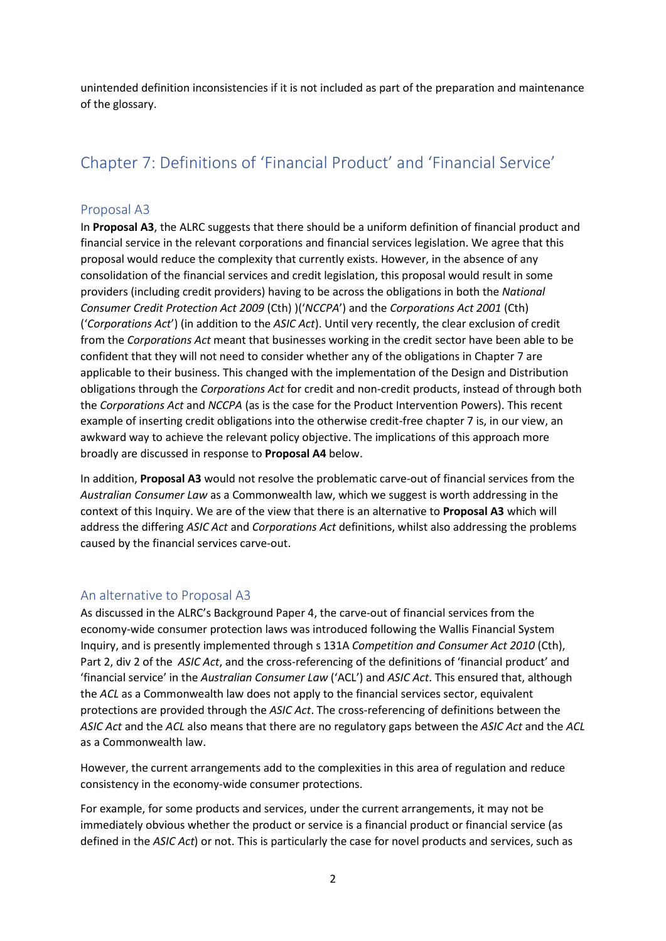unintended definition inconsistencies if it is not included as part of the preparation and maintenance of the glossary.

## Chapter 7: Definitions of 'Financial Product' and 'Financial Service'

#### Proposal A3

In **Proposal A3**, the ALRC suggests that there should be a uniform definition of financial product and financial service in the relevant corporations and financial services legislation. We agree that this proposal would reduce the complexity that currently exists. However, in the absence of any consolidation of the financial services and credit legislation, this proposal would result in some providers (including credit providers) having to be across the obligations in both the *National Consumer Credit Protection Act 2009* (Cth) )('*NCCPA*') and the *Corporations Act 2001* (Cth) ('*Corporations Act*') (in addition to the *ASIC Act*). Until very recently, the clear exclusion of credit from the *Corporations Act* meant that businesses working in the credit sector have been able to be confident that they will not need to consider whether any of the obligations in Chapter 7 are applicable to their business. This changed with the implementation of the Design and Distribution obligations through the *Corporations Act* for credit and non-credit products, instead of through both the *Corporations Act* and *NCCPA* (as is the case for the Product Intervention Powers). This recent example of inserting credit obligations into the otherwise credit-free chapter 7 is, in our view, an awkward way to achieve the relevant policy objective. The implications of this approach more broadly are discussed in response to **Proposal A4** below.

In addition, **Proposal A3** would not resolve the problematic carve-out of financial services from the *Australian Consumer Law* as a Commonwealth law, which we suggest is worth addressing in the context of this Inquiry. We are of the view that there is an alternative to **Proposal A3** which will address the differing *ASIC Act* and *Corporations Act* definitions, whilst also addressing the problems caused by the financial services carve-out.

#### An alternative to Proposal A3

As discussed in the ALRC's Background Paper 4, the carve-out of financial services from the economy-wide consumer protection laws was introduced following the Wallis Financial System Inquiry, and is presently implemented through s 131A *Competition and Consumer Act 2010* (Cth), Part 2, div 2 of the *ASIC Act*, and the cross-referencing of the definitions of 'financial product' and 'financial service' in the *Australian Consumer Law* ('ACL') and *ASIC Act*. This ensured that, although the *ACL* as a Commonwealth law does not apply to the financial services sector, equivalent protections are provided through the *ASIC Act*. The cross-referencing of definitions between the *ASIC Act* and the *ACL* also means that there are no regulatory gaps between the *ASIC Act* and the *ACL*  as a Commonwealth law.

However, the current arrangements add to the complexities in this area of regulation and reduce consistency in the economy-wide consumer protections.

For example, for some products and services, under the current arrangements, it may not be immediately obvious whether the product or service is a financial product or financial service (as defined in the *ASIC Act*) or not. This is particularly the case for novel products and services, such as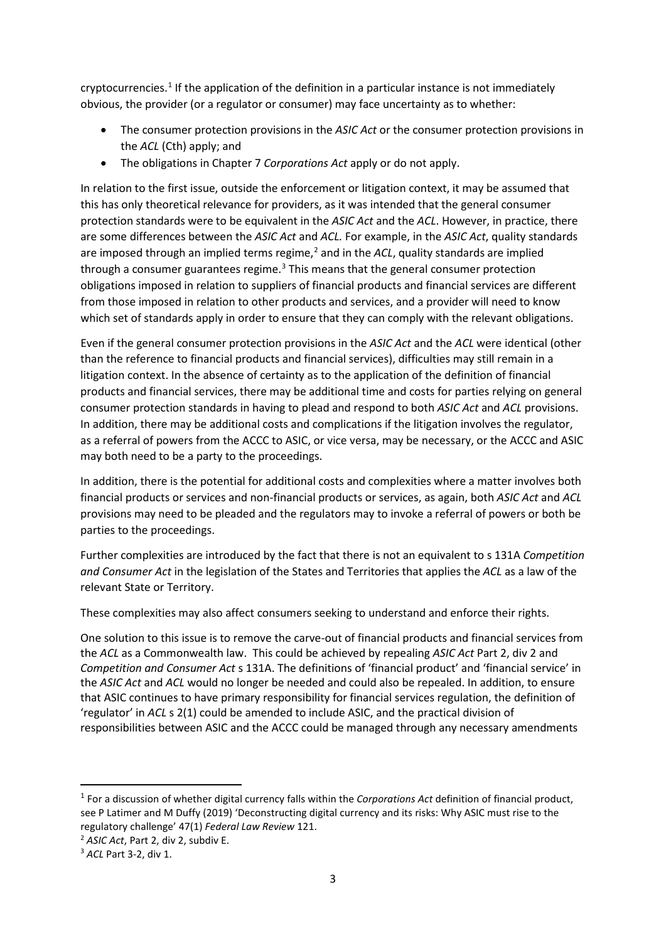cryptocurrencies.<sup>1</sup> If the application of the definition in a particular instance is not immediately obvious, the provider (or a regulator or consumer) may face uncertainty as to whether:

- The consumer protection provisions in the *ASIC Act* or the consumer protection provisions in the *ACL* (Cth) apply; and
- The obligations in Chapter 7 *Corporations Act* apply or do not apply.

In relation to the first issue, outside the enforcement or litigation context, it may be assumed that this has only theoretical relevance for providers, as it was intended that the general consumer protection standards were to be equivalent in the *ASIC Act* and the *ACL*. However, in practice, there are some differences between the *ASIC Act* and *ACL.* For example, in the *ASIC Act*, quality standards are imposed through an implied terms regime, $<sup>2</sup>$  and in the *ACL*, quality standards are implied</sup> through a consumer guarantees regime.<sup>3</sup> This means that the general consumer protection obligations imposed in relation to suppliers of financial products and financial services are different from those imposed in relation to other products and services, and a provider will need to know which set of standards apply in order to ensure that they can comply with the relevant obligations.

Even if the general consumer protection provisions in the *ASIC Act* and the *ACL* were identical (other than the reference to financial products and financial services), difficulties may still remain in a litigation context. In the absence of certainty as to the application of the definition of financial products and financial services, there may be additional time and costs for parties relying on general consumer protection standards in having to plead and respond to both *ASIC Act* and *ACL* provisions. In addition, there may be additional costs and complications if the litigation involves the regulator, as a referral of powers from the ACCC to ASIC, or vice versa, may be necessary, or the ACCC and ASIC may both need to be a party to the proceedings.

In addition, there is the potential for additional costs and complexities where a matter involves both financial products or services and non-financial products or services, as again, both *ASIC Act* and *ACL* provisions may need to be pleaded and the regulators may to invoke a referral of powers or both be parties to the proceedings.

Further complexities are introduced by the fact that there is not an equivalent to s 131A *Competition and Consumer Act* in the legislation of the States and Territories that applies the *ACL* as a law of the relevant State or Territory.

These complexities may also affect consumers seeking to understand and enforce their rights.

One solution to this issue is to remove the carve-out of financial products and financial services from the *ACL* as a Commonwealth law. This could be achieved by repealing *ASIC Act* Part 2, div 2 and *Competition and Consumer Act* s 131A. The definitions of 'financial product' and 'financial service' in the *ASIC Act* and *ACL* would no longer be needed and could also be repealed. In addition, to ensure that ASIC continues to have primary responsibility for financial services regulation, the definition of 'regulator' in *ACL* s 2(1) could be amended to include ASIC, and the practical division of responsibilities between ASIC and the ACCC could be managed through any necessary amendments

<sup>1</sup> For a discussion of whether digital currency falls within the *Corporations Act* definition of financial product, see P Latimer and M Duffy (2019) 'Deconstructing digital currency and its risks: Why ASIC must rise to the regulatory challenge' 47(1) *Federal Law Review* 121. 2 *ASIC Act*, Part 2, div 2, subdiv E.

<sup>3</sup> *ACL* Part 3-2, div 1.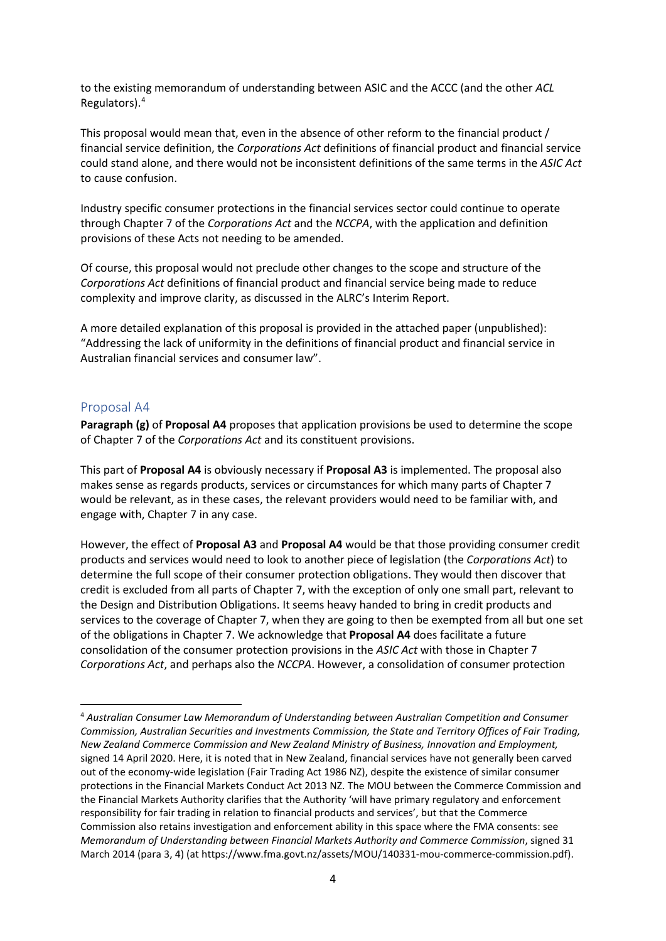to the existing memorandum of understanding between ASIC and the ACCC (and the other *ACL* Regulators).4

This proposal would mean that, even in the absence of other reform to the financial product / financial service definition, the *Corporations Act* definitions of financial product and financial service could stand alone, and there would not be inconsistent definitions of the same terms in the *ASIC Act* to cause confusion.

Industry specific consumer protections in the financial services sector could continue to operate through Chapter 7 of the *Corporations Act* and the *NCCPA*, with the application and definition provisions of these Acts not needing to be amended.

Of course, this proposal would not preclude other changes to the scope and structure of the *Corporations Act* definitions of financial product and financial service being made to reduce complexity and improve clarity, as discussed in the ALRC's Interim Report.

A more detailed explanation of this proposal is provided in the attached paper (unpublished): "Addressing the lack of uniformity in the definitions of financial product and financial service in Australian financial services and consumer law".

#### Proposal A4

**Paragraph (g)** of **Proposal A4** proposes that application provisions be used to determine the scope of Chapter 7 of the *Corporations Act* and its constituent provisions.

This part of **Proposal A4** is obviously necessary if **Proposal A3** is implemented. The proposal also makes sense as regards products, services or circumstances for which many parts of Chapter 7 would be relevant, as in these cases, the relevant providers would need to be familiar with, and engage with, Chapter 7 in any case.

However, the effect of **Proposal A3** and **Proposal A4** would be that those providing consumer credit products and services would need to look to another piece of legislation (the *Corporations Act*) to determine the full scope of their consumer protection obligations. They would then discover that credit is excluded from all parts of Chapter 7, with the exception of only one small part, relevant to the Design and Distribution Obligations. It seems heavy handed to bring in credit products and services to the coverage of Chapter 7, when they are going to then be exempted from all but one set of the obligations in Chapter 7. We acknowledge that **Proposal A4** does facilitate a future consolidation of the consumer protection provisions in the *ASIC Act* with those in Chapter 7 *Corporations Act*, and perhaps also the *NCCPA*. However, a consolidation of consumer protection

<sup>4</sup> *Australian Consumer Law Memorandum of Understanding between Australian Competition and Consumer Commission, Australian Securities and Investments Commission, the State and Territory Offices of Fair Trading, New Zealand Commerce Commission and New Zealand Ministry of Business, Innovation and Employment,* signed 14 April 2020. Here, it is noted that in New Zealand, financial services have not generally been carved out of the economy-wide legislation (Fair Trading Act 1986 NZ), despite the existence of similar consumer protections in the Financial Markets Conduct Act 2013 NZ. The MOU between the Commerce Commission and the Financial Markets Authority clarifies that the Authority 'will have primary regulatory and enforcement responsibility for fair trading in relation to financial products and services', but that the Commerce Commission also retains investigation and enforcement ability in this space where the FMA consents: see *Memorandum of Understanding between Financial Markets Authority and Commerce Commission*, signed 31 March 2014 (para 3, 4) (at https://www.fma.govt.nz/assets/MOU/140331-mou-commerce-commission.pdf).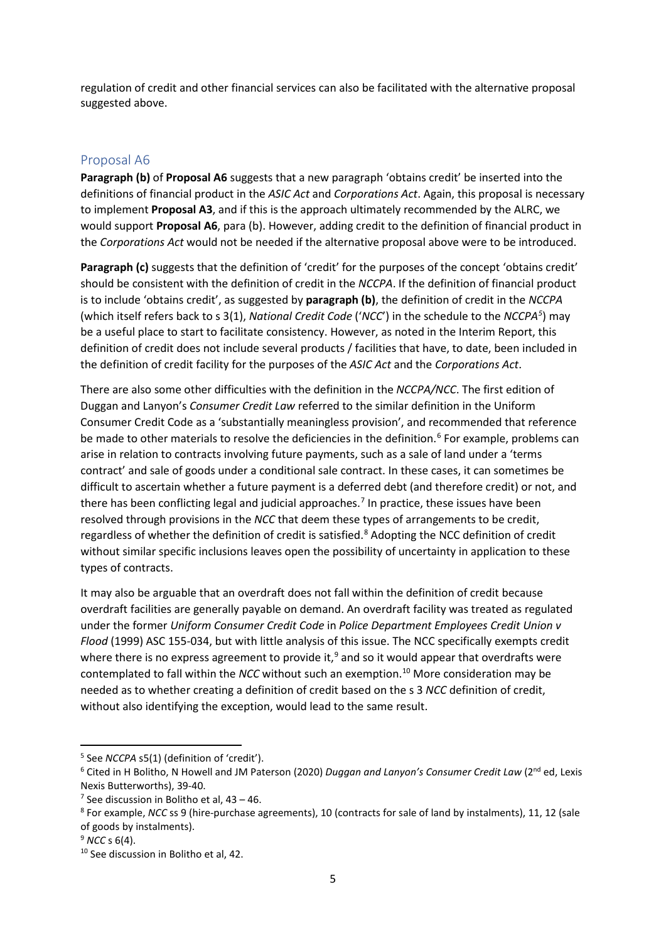regulation of credit and other financial services can also be facilitated with the alternative proposal suggested above.

#### Proposal A6

**Paragraph (b)** of **Proposal A6** suggests that a new paragraph 'obtains credit' be inserted into the definitions of financial product in the *ASIC Act* and *Corporations Act*. Again, this proposal is necessary to implement **Proposal A3**, and if this is the approach ultimately recommended by the ALRC, we would support **Proposal A6**, para (b). However, adding credit to the definition of financial product in the *Corporations Act* would not be needed if the alternative proposal above were to be introduced.

**Paragraph (c)** suggests that the definition of 'credit' for the purposes of the concept 'obtains credit' should be consistent with the definition of credit in the *NCCPA*. If the definition of financial product is to include 'obtains credit', as suggested by **paragraph (b)**, the definition of credit in the *NCCPA* (which itself refers back to s 3(1), *National Credit Code* ('*NCC*') in the schedule to the *NCCPA5* ) may be a useful place to start to facilitate consistency. However, as noted in the Interim Report, this definition of credit does not include several products / facilities that have, to date, been included in the definition of credit facility for the purposes of the *ASIC Act* and the *Corporations Act*.

There are also some other difficulties with the definition in the *NCCPA/NCC*. The first edition of Duggan and Lanyon's *Consumer Credit Law* referred to the similar definition in the Uniform Consumer Credit Code as a 'substantially meaningless provision', and recommended that reference be made to other materials to resolve the deficiencies in the definition.<sup>6</sup> For example, problems can arise in relation to contracts involving future payments, such as a sale of land under a 'terms contract' and sale of goods under a conditional sale contract. In these cases, it can sometimes be difficult to ascertain whether a future payment is a deferred debt (and therefore credit) or not, and there has been conflicting legal and judicial approaches.<sup>7</sup> In practice, these issues have been resolved through provisions in the *NCC* that deem these types of arrangements to be credit, regardless of whether the definition of credit is satisfied.<sup>8</sup> Adopting the NCC definition of credit without similar specific inclusions leaves open the possibility of uncertainty in application to these types of contracts.

It may also be arguable that an overdraft does not fall within the definition of credit because overdraft facilities are generally payable on demand. An overdraft facility was treated as regulated under the former *Uniform Consumer Credit Code* in *Police Department Employees Credit Union v Flood* (1999) ASC 155-034, but with little analysis of this issue. The NCC specifically exempts credit where there is no express agreement to provide it, $9$  and so it would appear that overdrafts were contemplated to fall within the *NCC* without such an exemption.10 More consideration may be needed as to whether creating a definition of credit based on the s 3 *NCC* definition of credit, without also identifying the exception, would lead to the same result.

<sup>&</sup>lt;sup>5</sup> See *NCCPA* s5(1) (definition of 'credit').

<sup>6</sup> Cited in H Bolitho, N Howell and JM Paterson (2020) *Duggan and Lanyon's Consumer Credit Law* (2nd ed, Lexis Nexis Butterworths), 39-40.

 $<sup>7</sup>$  See discussion in Bolitho et al, 43 – 46.</sup>

<sup>8</sup> For example, *NCC* ss 9 (hire-purchase agreements), 10 (contracts for sale of land by instalments), 11, 12 (sale of goods by instalments). 9 *NCC* s 6(4).

<sup>&</sup>lt;sup>10</sup> See discussion in Bolitho et al, 42.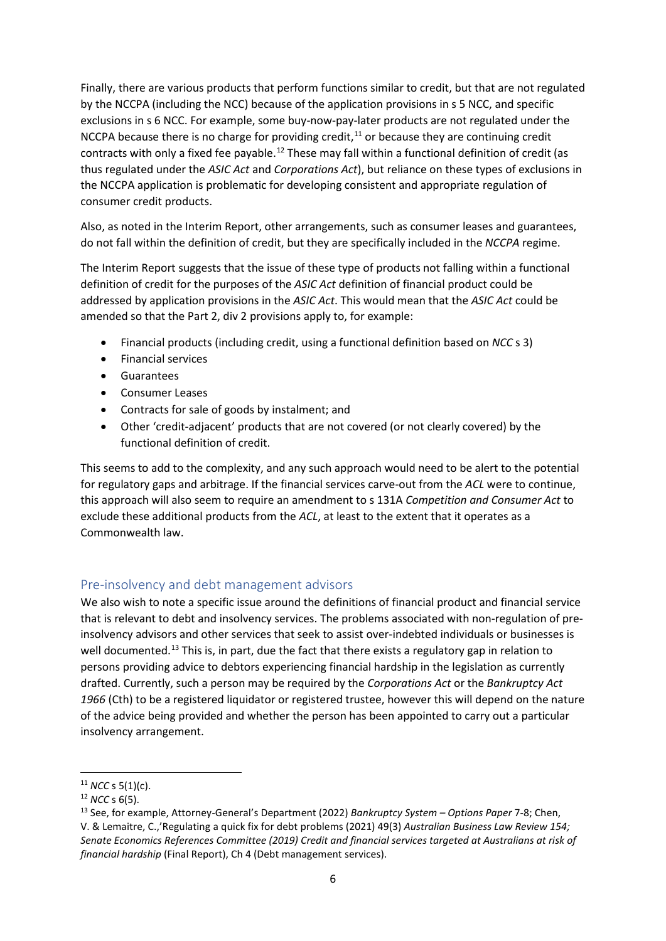Finally, there are various products that perform functions similar to credit, but that are not regulated by the NCCPA (including the NCC) because of the application provisions in s 5 NCC, and specific exclusions in s 6 NCC. For example, some buy-now-pay-later products are not regulated under the NCCPA because there is no charge for providing credit, $11$  or because they are continuing credit contracts with only a fixed fee payable.<sup>12</sup> These may fall within a functional definition of credit (as thus regulated under the *ASIC Act* and *Corporations Act*), but reliance on these types of exclusions in the NCCPA application is problematic for developing consistent and appropriate regulation of consumer credit products.

Also, as noted in the Interim Report, other arrangements, such as consumer leases and guarantees, do not fall within the definition of credit, but they are specifically included in the *NCCPA* regime.

The Interim Report suggests that the issue of these type of products not falling within a functional definition of credit for the purposes of the *ASIC Act* definition of financial product could be addressed by application provisions in the *ASIC Act*. This would mean that the *ASIC Act* could be amended so that the Part 2, div 2 provisions apply to, for example:

- Financial products (including credit, using a functional definition based on *NCC* s 3)
- Financial services
- **Guarantees**
- Consumer Leases
- Contracts for sale of goods by instalment; and
- Other 'credit-adjacent' products that are not covered (or not clearly covered) by the functional definition of credit.

This seems to add to the complexity, and any such approach would need to be alert to the potential for regulatory gaps and arbitrage. If the financial services carve-out from the *ACL* were to continue, this approach will also seem to require an amendment to s 131A *Competition and Consumer Act* to exclude these additional products from the *ACL*, at least to the extent that it operates as a Commonwealth law.

#### Pre-insolvency and debt management advisors

We also wish to note a specific issue around the definitions of financial product and financial service that is relevant to debt and insolvency services. The problems associated with non-regulation of preinsolvency advisors and other services that seek to assist over-indebted individuals or businesses is well documented.<sup>13</sup> This is, in part, due the fact that there exists a regulatory gap in relation to persons providing advice to debtors experiencing financial hardship in the legislation as currently drafted. Currently, such a person may be required by the *Corporations Act* or the *Bankruptcy Act 1966* (Cth) to be a registered liquidator or registered trustee, however this will depend on the nature of the advice being provided and whether the person has been appointed to carry out a particular insolvency arrangement.

<sup>11</sup> *NCC* s 5(1)(c).

<sup>12</sup> *NCC* s 6(5).

<sup>13</sup> See, for example, Attorney-General's Department (2022) *Bankruptcy System – Options Paper* 7-8; Chen, V. & Lemaitre, C.,'Regulating a quick fix for debt problems (2021) 49(3) *Australian Business Law Review 154; Senate Economics References Committee (2019) Credit and financial services targeted at Australians at risk of financial hardship* (Final Report), Ch 4 (Debt management services).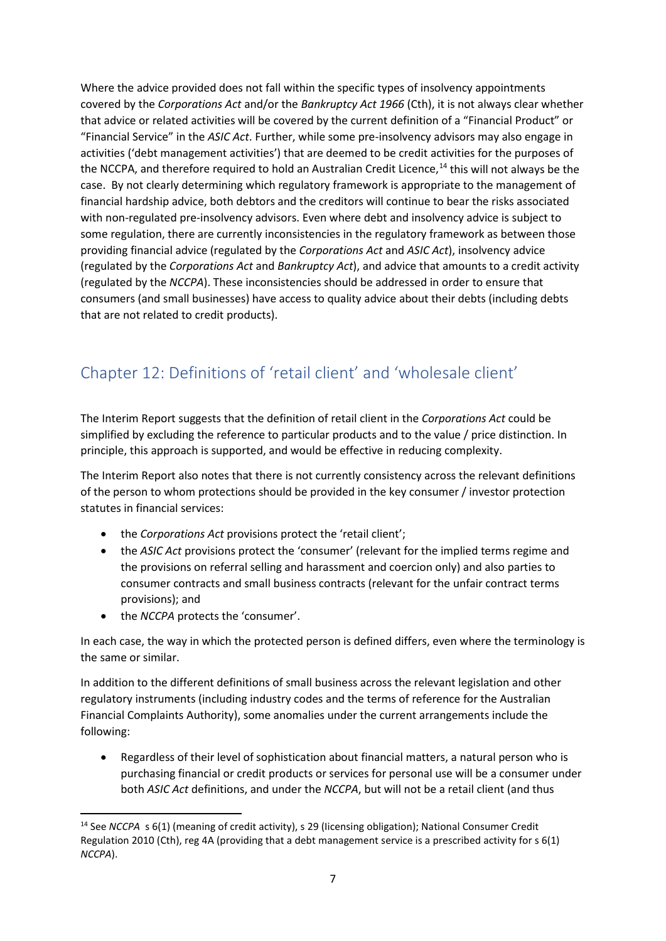Where the advice provided does not fall within the specific types of insolvency appointments covered by the *Corporations Act* and/or the *Bankruptcy Act 1966* (Cth), it is not always clear whether that advice or related activities will be covered by the current definition of a "Financial Product" or "Financial Service" in the *ASIC Act*. Further, while some pre-insolvency advisors may also engage in activities ('debt management activities') that are deemed to be credit activities for the purposes of the NCCPA, and therefore required to hold an Australian Credit Licence,<sup>14</sup> this will not always be the case. By not clearly determining which regulatory framework is appropriate to the management of financial hardship advice, both debtors and the creditors will continue to bear the risks associated with non-regulated pre-insolvency advisors. Even where debt and insolvency advice is subject to some regulation, there are currently inconsistencies in the regulatory framework as between those providing financial advice (regulated by the *Corporations Act* and *ASIC Act*), insolvency advice (regulated by the *Corporations Act* and *Bankruptcy Act*), and advice that amounts to a credit activity (regulated by the *NCCPA*). These inconsistencies should be addressed in order to ensure that consumers (and small businesses) have access to quality advice about their debts (including debts that are not related to credit products).

## Chapter 12: Definitions of 'retail client' and 'wholesale client'

The Interim Report suggests that the definition of retail client in the *Corporations Act* could be simplified by excluding the reference to particular products and to the value / price distinction. In principle, this approach is supported, and would be effective in reducing complexity.

The Interim Report also notes that there is not currently consistency across the relevant definitions of the person to whom protections should be provided in the key consumer / investor protection statutes in financial services:

- the *Corporations Act* provisions protect the 'retail client';
- the *ASIC Act* provisions protect the 'consumer' (relevant for the implied terms regime and the provisions on referral selling and harassment and coercion only) and also parties to consumer contracts and small business contracts (relevant for the unfair contract terms provisions); and
- the *NCCPA* protects the 'consumer'.

In each case, the way in which the protected person is defined differs, even where the terminology is the same or similar.

In addition to the different definitions of small business across the relevant legislation and other regulatory instruments (including industry codes and the terms of reference for the Australian Financial Complaints Authority), some anomalies under the current arrangements include the following:

• Regardless of their level of sophistication about financial matters, a natural person who is purchasing financial or credit products or services for personal use will be a consumer under both *ASIC Act* definitions, and under the *NCCPA*, but will not be a retail client (and thus

<sup>14</sup> See *NCCPA* s 6(1) (meaning of credit activity), s 29 (Iicensing obligation); National Consumer Credit Regulation 2010 (Cth), reg 4A (providing that a debt management service is a prescribed activity for s 6(1) *NCCPA*).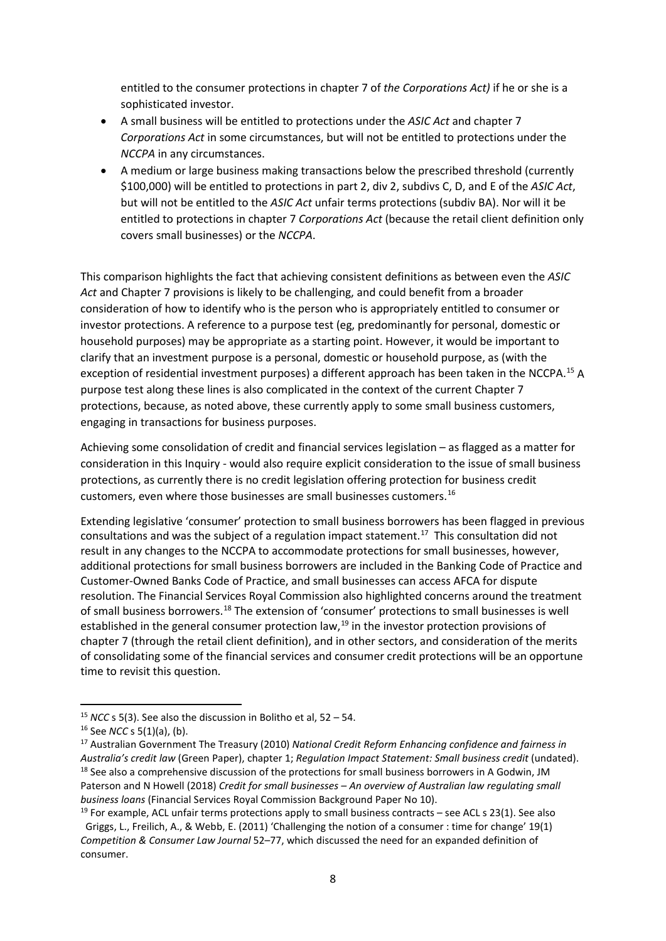entitled to the consumer protections in chapter 7 of *the Corporations Act)* if he or she is a sophisticated investor.

- A small business will be entitled to protections under the *ASIC Act* and chapter 7 *Corporations Act* in some circumstances, but will not be entitled to protections under the *NCCPA* in any circumstances.
- A medium or large business making transactions below the prescribed threshold (currently \$100,000) will be entitled to protections in part 2, div 2, subdivs C, D, and E of the *ASIC Act*, but will not be entitled to the *ASIC Act* unfair terms protections (subdiv BA). Nor will it be entitled to protections in chapter 7 *Corporations Act* (because the retail client definition only covers small businesses) or the *NCCPA*.

This comparison highlights the fact that achieving consistent definitions as between even the *ASIC Act* and Chapter 7 provisions is likely to be challenging, and could benefit from a broader consideration of how to identify who is the person who is appropriately entitled to consumer or investor protections. A reference to a purpose test (eg, predominantly for personal, domestic or household purposes) may be appropriate as a starting point. However, it would be important to clarify that an investment purpose is a personal, domestic or household purpose, as (with the exception of residential investment purposes) a different approach has been taken in the NCCPA.<sup>15</sup> A purpose test along these lines is also complicated in the context of the current Chapter 7 protections, because, as noted above, these currently apply to some small business customers, engaging in transactions for business purposes.

Achieving some consolidation of credit and financial services legislation – as flagged as a matter for consideration in this Inquiry - would also require explicit consideration to the issue of small business protections, as currently there is no credit legislation offering protection for business credit customers, even where those businesses are small businesses customers. 16

Extending legislative 'consumer' protection to small business borrowers has been flagged in previous consultations and was the subject of a regulation impact statement. 17 This consultation did not result in any changes to the NCCPA to accommodate protections for small businesses, however, additional protections for small business borrowers are included in the Banking Code of Practice and Customer-Owned Banks Code of Practice, and small businesses can access AFCA for dispute resolution. The Financial Services Royal Commission also highlighted concerns around the treatment of small business borrowers.18 The extension of 'consumer' protections to small businesses is well established in the general consumer protection law,<sup>19</sup> in the investor protection provisions of chapter 7 (through the retail client definition), and in other sectors, and consideration of the merits of consolidating some of the financial services and consumer credit protections will be an opportune time to revisit this question.

<sup>15</sup> *NCC* s 5(3). See also the discussion in Bolitho et al, 52 – 54.

<sup>&</sup>lt;sup>16</sup> See *NCC* s 5(1)(a), (b).<br><sup>17</sup> Australian Government The Treasury (2010) *National Credit Reform Enhancing confidence and fairness in Australia's credit law* (Green Paper), chapter 1; *Regulation Impact Statement: Small business credit* (undated). <sup>18</sup> See also a comprehensive discussion of the protections for small business borrowers in A Godwin, JM Paterson and N Howell (2018) *Credit for small businesses – An overview of Australian law regulating small business loans* (Financial Services Royal Commission Background Paper No 10).

 $19$  For example, ACL unfair terms protections apply to small business contracts – see ACL s 23(1). See also Griggs, L., Freilich, A., & Webb, E. (2011) 'Challenging the notion of a consumer : time for change' 19(1) *Competition & Consumer Law Journal* 52–77, which discussed the need for an expanded definition of consumer.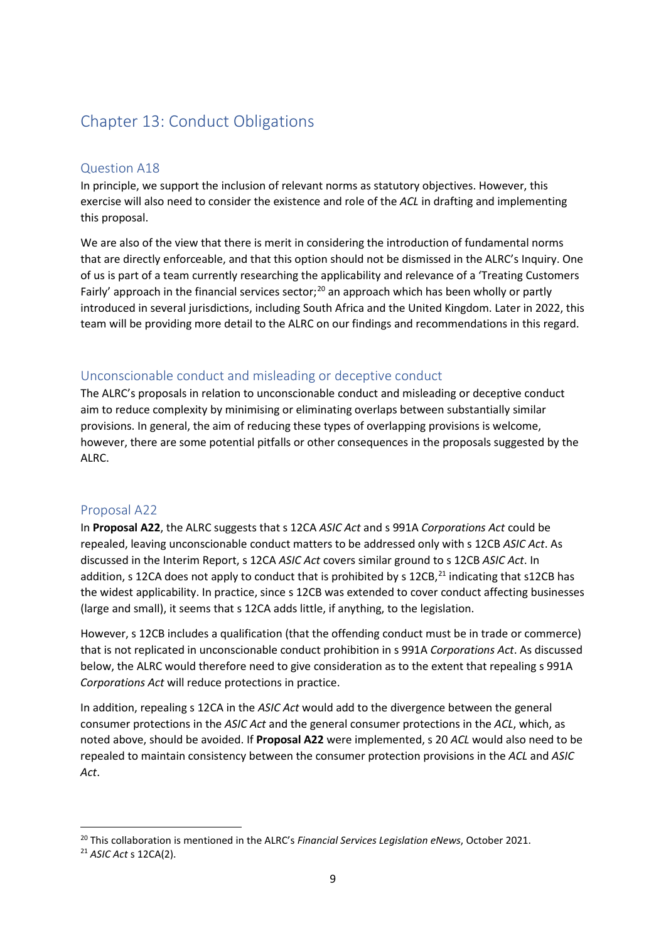### Chapter 13: Conduct Obligations

#### Question A18

In principle, we support the inclusion of relevant norms as statutory objectives. However, this exercise will also need to consider the existence and role of the *ACL* in drafting and implementing this proposal.

We are also of the view that there is merit in considering the introduction of fundamental norms that are directly enforceable, and that this option should not be dismissed in the ALRC's Inquiry. One of us is part of a team currently researching the applicability and relevance of a 'Treating Customers Fairly' approach in the financial services sector;<sup>20</sup> an approach which has been wholly or partly introduced in several jurisdictions, including South Africa and the United Kingdom. Later in 2022, this team will be providing more detail to the ALRC on our findings and recommendations in this regard.

#### Unconscionable conduct and misleading or deceptive conduct

The ALRC's proposals in relation to unconscionable conduct and misleading or deceptive conduct aim to reduce complexity by minimising or eliminating overlaps between substantially similar provisions. In general, the aim of reducing these types of overlapping provisions is welcome, however, there are some potential pitfalls or other consequences in the proposals suggested by the ALRC.

#### Proposal A22

In **Proposal A22**, the ALRC suggests that s 12CA *ASIC Act* and s 991A *Corporations Act* could be repealed, leaving unconscionable conduct matters to be addressed only with s 12CB *ASIC Act*. As discussed in the Interim Report, s 12CA *ASIC Act* covers similar ground to s 12CB *ASIC Act*. In addition, s 12CA does not apply to conduct that is prohibited by s 12CB,<sup>21</sup> indicating that s12CB has the widest applicability. In practice, since s 12CB was extended to cover conduct affecting businesses (large and small), it seems that s 12CA adds little, if anything, to the legislation.

However, s 12CB includes a qualification (that the offending conduct must be in trade or commerce) that is not replicated in unconscionable conduct prohibition in s 991A *Corporations Act*. As discussed below, the ALRC would therefore need to give consideration as to the extent that repealing s 991A *Corporations Act* will reduce protections in practice.

In addition, repealing s 12CA in the *ASIC Act* would add to the divergence between the general consumer protections in the *ASIC Act* and the general consumer protections in the *ACL*, which, as noted above, should be avoided. If **Proposal A22** were implemented, s 20 *ACL* would also need to be repealed to maintain consistency between the consumer protection provisions in the *ACL* and *ASIC Act*.

<sup>20</sup> This collaboration is mentioned in the ALRC's *Financial Services Legislation eNews*, October 2021.

<sup>21</sup> *ASIC Act* s 12CA(2).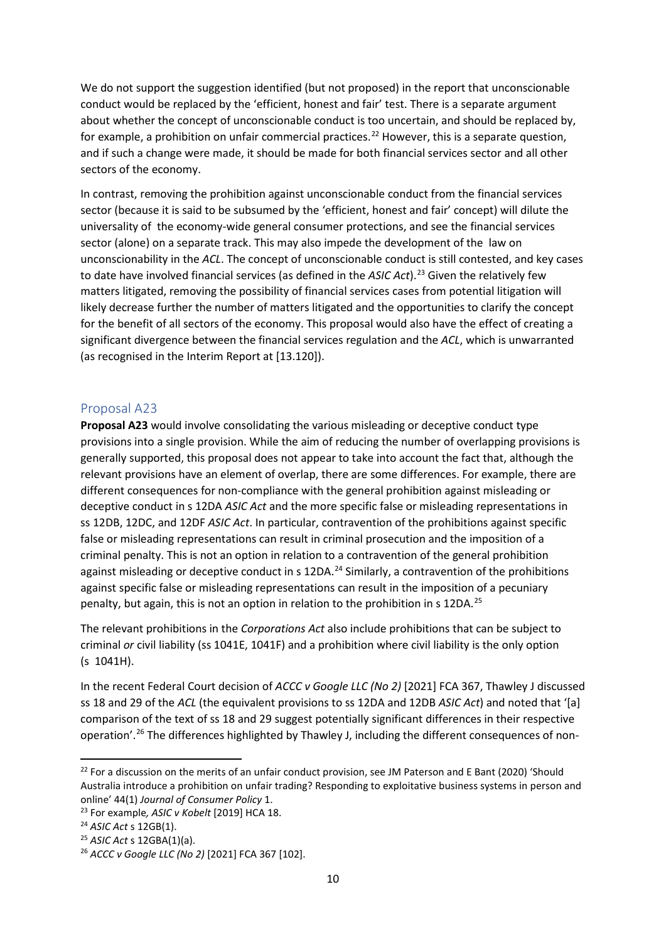We do not support the suggestion identified (but not proposed) in the report that unconscionable conduct would be replaced by the 'efficient, honest and fair' test. There is a separate argument about whether the concept of unconscionable conduct is too uncertain, and should be replaced by, for example, a prohibition on unfair commercial practices.<sup>22</sup> However, this is a separate question, and if such a change were made, it should be made for both financial services sector and all other sectors of the economy.

In contrast, removing the prohibition against unconscionable conduct from the financial services sector (because it is said to be subsumed by the 'efficient, honest and fair' concept) will dilute the universality of the economy-wide general consumer protections, and see the financial services sector (alone) on a separate track. This may also impede the development of the law on unconscionability in the *ACL*. The concept of unconscionable conduct is still contested, and key cases to date have involved financial services (as defined in the ASIC Act).<sup>23</sup> Given the relatively few matters litigated, removing the possibility of financial services cases from potential litigation will likely decrease further the number of matters litigated and the opportunities to clarify the concept for the benefit of all sectors of the economy. This proposal would also have the effect of creating a significant divergence between the financial services regulation and the *ACL*, which is unwarranted (as recognised in the Interim Report at [13.120]).

#### Proposal A23

**Proposal A23** would involve consolidating the various misleading or deceptive conduct type provisions into a single provision. While the aim of reducing the number of overlapping provisions is generally supported, this proposal does not appear to take into account the fact that, although the relevant provisions have an element of overlap, there are some differences. For example, there are different consequences for non-compliance with the general prohibition against misleading or deceptive conduct in s 12DA *ASIC Act* and the more specific false or misleading representations in ss 12DB, 12DC, and 12DF *ASIC Act*. In particular, contravention of the prohibitions against specific false or misleading representations can result in criminal prosecution and the imposition of a criminal penalty. This is not an option in relation to a contravention of the general prohibition against misleading or deceptive conduct in s 12DA.<sup>24</sup> Similarly, a contravention of the prohibitions against specific false or misleading representations can result in the imposition of a pecuniary penalty, but again, this is not an option in relation to the prohibition in s 12DA.<sup>25</sup>

The relevant prohibitions in the *Corporations Act* also include prohibitions that can be subject to criminal *or* civil liability (ss 1041E, 1041F) and a prohibition where civil liability is the only option (s 1041H).

In the recent Federal Court decision of *ACCC v Google LLC (No 2)* [2021] FCA 367, Thawley J discussed ss 18 and 29 of the *ACL* (the equivalent provisions to ss 12DA and 12DB *ASIC Act*) and noted that '[a] comparison of the text of ss 18 and 29 suggest potentially significant differences in their respective operation'.<sup>26</sup> The differences highlighted by Thawley J, including the different consequences of non-

<sup>&</sup>lt;sup>22</sup> For a discussion on the merits of an unfair conduct provision, see JM Paterson and E Bant (2020) 'Should Australia introduce a prohibition on unfair trading? Responding to exploitative business systems in person and online' 44(1) *Journal of Consumer Policy* 1.

<sup>23</sup> For example*, ASIC v Kobelt* [2019] HCA 18.

<sup>24</sup> *ASIC Act* s 12GB(1). 25 *ASIC Act* s 12GBA(1)(a).

<sup>26</sup> *ACCC v Google LLC (No 2)* [2021] FCA 367 [102].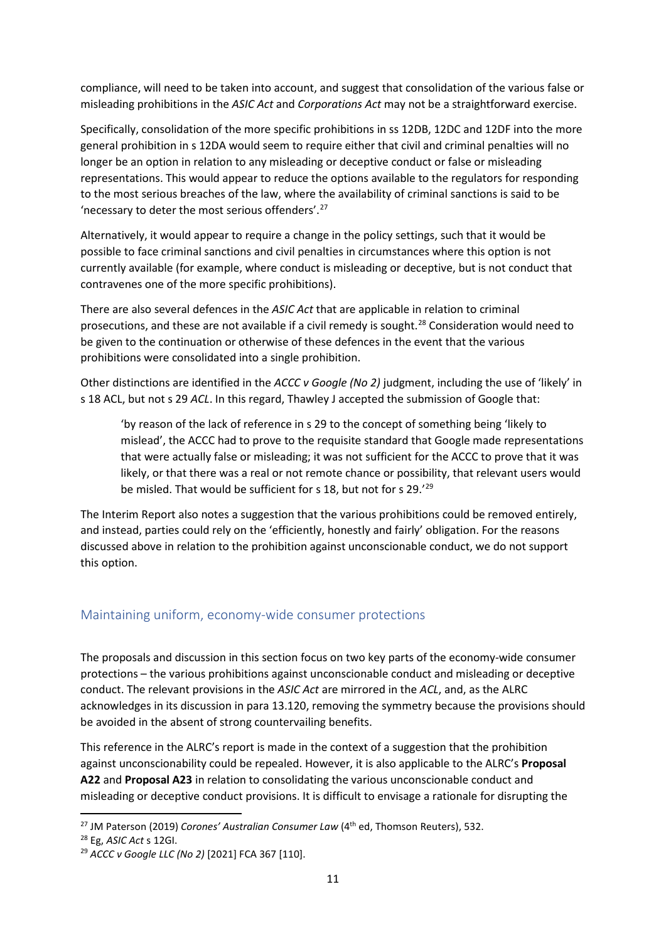compliance, will need to be taken into account, and suggest that consolidation of the various false or misleading prohibitions in the *ASIC Act* and *Corporations Act* may not be a straightforward exercise.

Specifically, consolidation of the more specific prohibitions in ss 12DB, 12DC and 12DF into the more general prohibition in s 12DA would seem to require either that civil and criminal penalties will no longer be an option in relation to any misleading or deceptive conduct or false or misleading representations. This would appear to reduce the options available to the regulators for responding to the most serious breaches of the law, where the availability of criminal sanctions is said to be 'necessary to deter the most serious offenders'.27

Alternatively, it would appear to require a change in the policy settings, such that it would be possible to face criminal sanctions and civil penalties in circumstances where this option is not currently available (for example, where conduct is misleading or deceptive, but is not conduct that contravenes one of the more specific prohibitions).

There are also several defences in the *ASIC Act* that are applicable in relation to criminal prosecutions, and these are not available if a civil remedy is sought.28 Consideration would need to be given to the continuation or otherwise of these defences in the event that the various prohibitions were consolidated into a single prohibition.

Other distinctions are identified in the *ACCC v Google (No 2)* judgment, including the use of 'likely' in s 18 ACL, but not s 29 *ACL*. In this regard, Thawley J accepted the submission of Google that:

'by reason of the lack of reference in s 29 to the concept of something being 'likely to mislead', the ACCC had to prove to the requisite standard that Google made representations that were actually false or misleading; it was not sufficient for the ACCC to prove that it was likely, or that there was a real or not remote chance or possibility, that relevant users would be misled. That would be sufficient for s 18, but not for s 29.'29

The Interim Report also notes a suggestion that the various prohibitions could be removed entirely, and instead, parties could rely on the 'efficiently, honestly and fairly' obligation. For the reasons discussed above in relation to the prohibition against unconscionable conduct, we do not support this option.

#### Maintaining uniform, economy-wide consumer protections

The proposals and discussion in this section focus on two key parts of the economy-wide consumer protections – the various prohibitions against unconscionable conduct and misleading or deceptive conduct. The relevant provisions in the *ASIC Act* are mirrored in the *ACL*, and, as the ALRC acknowledges in its discussion in para 13.120, removing the symmetry because the provisions should be avoided in the absent of strong countervailing benefits.

This reference in the ALRC's report is made in the context of a suggestion that the prohibition against unconscionability could be repealed. However, it is also applicable to the ALRC's **Proposal A22** and **Proposal A23** in relation to consolidating the various unconscionable conduct and misleading or deceptive conduct provisions. It is difficult to envisage a rationale for disrupting the

<sup>&</sup>lt;sup>27</sup> JM Paterson (2019) *Corones' Australian Consumer Law* (4<sup>th</sup> ed, Thomson Reuters), 532.

<sup>28</sup> Eg, *ASIC Act* s 12GI.

<sup>29</sup> *ACCC v Google LLC (No 2)* [2021] FCA 367 [110].